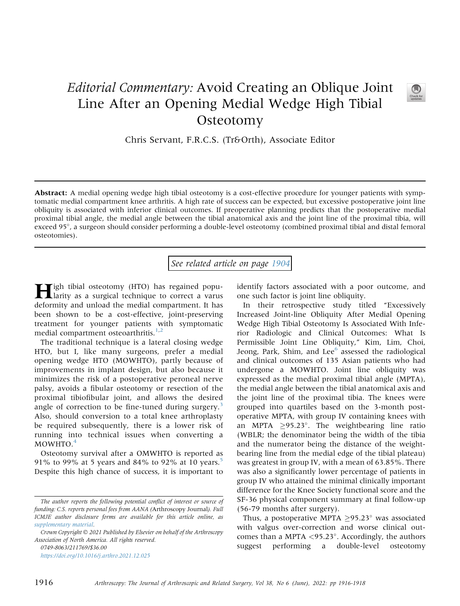## Editorial Commentary: Avoid Creating an Oblique Joint Line After an Opening Medial Wedge High Tibial **Osteotomy**



Chris Servant, F.R.C.S. (Tr&Orth), Associate Editor

Abstract: A medial opening wedge high tibial osteotomy is a cost-effective procedure for younger patients with symptomatic medial compartment knee arthritis. A high rate of success can be expected, but excessive postoperative joint line obliquity is associated with inferior clinical outcomes. If preoperative planning predicts that the postoperative medial proximal tibial angle, the medial angle between the tibial anatomical axis and the joint line of the proximal tibia, will exceed 95°, a surgeon should consider performing a double-level osteotomy (combined proximal tibial and distal femoral osteotomies).

See related article on page [1904](http://www.arthroscopyjournal.org/article/S0749-8063(21)00979-8/abstract)

High tibial osteotomy (HTO) has regained popu-larity as a surgical technique to correct a varus deformity and unload the medial compartment. It has been shown to be a cost-effective, joint-preserving treatment for younger patients with symptomatic medial compartment osteoarthritis.<sup>[1](#page-1-0)[,2](#page-1-1)</sup>

The traditional technique is a lateral closing wedge HTO, but I, like many surgeons, prefer a medial opening wedge HTO (MOWHTO), partly because of improvements in implant design, but also because it minimizes the risk of a postoperative peroneal nerve palsy, avoids a fibular osteotomy or resection of the proximal tibiofibular joint, and allows the desired angle of correction to be fine-tuned during surgery.<sup>[3](#page-1-2)</sup> Also, should conversion to a total knee arthroplasty be required subsequently, there is a lower risk of running into technical issues when converting a MOWHTO.<sup>[4](#page-1-3)</sup>

Osteotomy survival after a OMWHTO is reported as 91% to 99% at [5](#page-1-4) years and 84% to 92% at 10 years.<sup>5</sup> Despite this high chance of success, it is important to

<https://doi.org/10.1016/j.arthro.2021.12.025>

identify factors associated with a poor outcome, and one such factor is joint line obliquity.

In their retrospective study titled "Excessively Increased Joint-line Obliquity After Medial Opening Wedge High Tibial Osteotomy Is Associated With Inferior Radiologic and Clinical Outcomes: What Is Permissible Joint Line Obliquity," Kim, Lim, Choi, Jeong, Park, Shim, and Lee $<sup>6</sup>$  $<sup>6</sup>$  $<sup>6</sup>$  assessed the radiological</sup> and clinical outcomes of 135 Asian patients who had undergone a MOWHTO. Joint line obliquity was expressed as the medial proximal tibial angle (MPTA), the medial angle between the tibial anatomical axis and the joint line of the proximal tibia. The knees were grouped into quartiles based on the 3-month postoperative MPTA, with group IV containing knees with an MPTA  $\geq$ 95.23°. The weightbearing line ratio (WBLR; the denominator being the width of the tibia and the numerator being the distance of the weightbearing line from the medial edge of the tibial plateau) was greatest in group IV, with a mean of 63.85%. There was also a significantly lower percentage of patients in group IV who attained the minimal clinically important difference for the Knee Society functional score and the SF-36 physical component summary at final follow-up (56-79 months after surgery).

Thus, a postoperative MPTA  $\geq$ 95.23° was associated with valgus over-correction and worse clinical outcomes than a MPTA  $\langle 95.23^\circ$ . Accordingly, the authors suggest performing a double-level osteotomy

The author reports the following potential conflict of interest or source of funding: C.S. reports personal fees from AANA (Arthroscopy Journal). Full ICMJE author disclosure forms are available for this article online, as supplementary material.

Crown Copyright  $\odot$  2021 Published by Elsevier on behalf of the Arthroscopy Association of North America. All rights reserved. 0749-8063/211769/\$36.00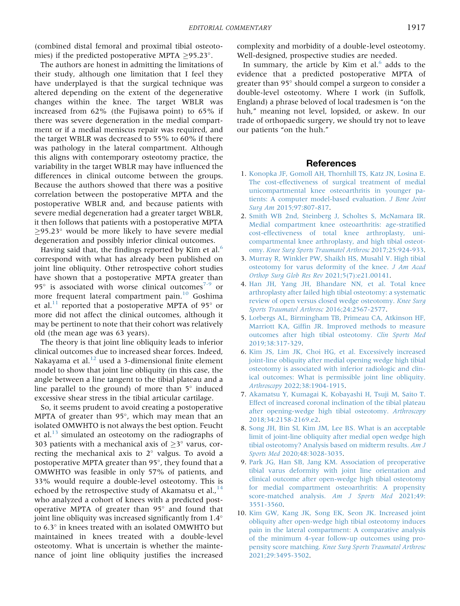(combined distal femoral and proximal tibial osteotomies) if the predicted postoperative MPTA  $\geq$ 95.23°.

The authors are honest in admitting the limitations of their study, although one limitation that I feel they have underplayed is that the surgical technique was altered depending on the extent of the degenerative changes within the knee. The target WBLR was increased from 62% (the Fujisawa point) to 65% if there was severe degeneration in the medial compartment or if a medial meniscus repair was required, and the target WBLR was decreased to 55% to 60% if there was pathology in the lateral compartment. Although this aligns with contemporary osteotomy practice, the variability in the target WBLR may have influenced the differences in clinical outcome between the groups. Because the authors showed that there was a positive correlation between the postoperative MPTA and the postoperative WBLR and, and because patients with severe medial degeneration had a greater target WBLR, it then follows that patients with a postoperative MPTA  $\geq$ 95.23° would be more likely to have severe medial degeneration and possibly inferior clinical outcomes.

Having said that, the findings reported by Kim et al.<sup>[6](#page-1-5)</sup> correspond with what has already been published on joint line obliquity. Other retrospective cohort studies have shown that a postoperative MPTA greater than  $95^\circ$  is associated with worse clinical outcomes<sup>[7-9](#page-1-6)</sup> or more frequent lateral compartment pain.<sup>[10](#page-1-7)</sup> Goshima et al.<sup>[11](#page-2-0)</sup> reported that a postoperative MPTA of 95 $^{\circ}$  or more did not affect the clinical outcomes, although it may be pertinent to note that their cohort was relatively old (the mean age was 63 years).

The theory is that joint line obliquity leads to inferior clinical outcomes due to increased shear forces. Indeed, Nakayama et al. $^{12}$  $^{12}$  $^{12}$  used a 3-dimensional finite element model to show that joint line obliquity (in this case, the angle between a line tangent to the tibial plateau and a line parallel to the ground) of more than  $5^\circ$  induced excessive shear stress in the tibial articular cartilage.

So, it seems prudent to avoid creating a postoperative MPTA of greater than  $95^\circ$ , which may mean that an isolated OMWHTO is not always the best option. Feucht et al. $^{13}$  $^{13}$  $^{13}$  simulated an osteotomy on the radiographs of 303 patients with a mechanical axis of  $\geq$  3° varus, correcting the mechanical axis to  $2^\circ$  valgus. To avoid a postoperative MPTA greater than 95°, they found that a OMWHTO was feasible in only 57% of patients, and 33% would require a double-level osteotomy. This is echoed by the retrospective study of Akamatsu et al., $^{14}$  $^{14}$  $^{14}$ who analyzed a cohort of knees with a predicted postoperative MPTA of greater than  $95^\circ$  and found that joint line obliquity was increased significantly from 1.4 to 6.3° in knees treated with an isolated OMWHTO but maintained in knees treated with a double-level osteotomy. What is uncertain is whether the maintenance of joint line obliquity justifies the increased

complexity and morbidity of a double-level osteotomy. Well-designed, prospective studies are needed.

In summary, the article by Kim et al. $<sup>6</sup>$  $<sup>6</sup>$  $<sup>6</sup>$  adds to the</sup> evidence that a predicted postoperative MPTA of greater than 95° should compel a surgeon to consider a double-level osteotomy. Where I work (in Suffolk, England) a phrase beloved of local tradesmen is "on the huh," meaning not level, lopsided, or askew. In our trade of orthopaedic surgery, we should try not to leave our patients "on the huh."

## References

- <span id="page-1-0"></span>1. [Konopka JF, Gomoll AH, Thornhill TS, Katz JN, Losina E.](http://refhub.elsevier.com/S0749-8063(21)01116-6/sref1) [The cost-effectiveness of surgical treatment of medial](http://refhub.elsevier.com/S0749-8063(21)01116-6/sref1) [unicompartmental knee osteoarthritis in younger pa](http://refhub.elsevier.com/S0749-8063(21)01116-6/sref1)[tients: A computer model-based evaluation.](http://refhub.elsevier.com/S0749-8063(21)01116-6/sref1) J Bone Joint Surg Am [2015;97:807-817.](http://refhub.elsevier.com/S0749-8063(21)01116-6/sref1)
- <span id="page-1-1"></span>2. [Smith WB 2nd, Steinberg J, Scholtes S, McNamara IR.](http://refhub.elsevier.com/S0749-8063(21)01116-6/sref2) [Medial compartment knee osteoarthritis: age-strati](http://refhub.elsevier.com/S0749-8063(21)01116-6/sref2)fied [cost-effectiveness of total knee arthroplasty, uni](http://refhub.elsevier.com/S0749-8063(21)01116-6/sref2)[compartmental knee arthroplasty, and high tibial osteot](http://refhub.elsevier.com/S0749-8063(21)01116-6/sref2)omy. [Knee Surg Sports Traumatol Arthrosc](http://refhub.elsevier.com/S0749-8063(21)01116-6/sref2) 2017;25:924-933.
- <span id="page-1-3"></span><span id="page-1-2"></span>3. [Murray R, Winkler PW, Shaikh HS, Musahl V. High tibial](http://refhub.elsevier.com/S0749-8063(21)01116-6/sref3) [osteotomy for varus deformity of the knee.](http://refhub.elsevier.com/S0749-8063(21)01116-6/sref3) J Am Acad [Orthop Surg Glob Res Rev](http://refhub.elsevier.com/S0749-8063(21)01116-6/sref3) 2021;5(7):e21.00141.
- 4. [Han JH, Yang JH, Bhandare NN, et al. Total knee](http://refhub.elsevier.com/S0749-8063(21)01116-6/sref4) [arthroplasty after failed high tibial osteotomy: a systematic](http://refhub.elsevier.com/S0749-8063(21)01116-6/sref4) [review of open versus closed wedge osteotomy.](http://refhub.elsevier.com/S0749-8063(21)01116-6/sref4) Knee Surg [Sports Traumatol Arthrosc](http://refhub.elsevier.com/S0749-8063(21)01116-6/sref4) 2016;24:2567-2577.
- <span id="page-1-4"></span>5. [Lorbergs AL, Birmingham TB, Primeau CA, Atkinson HF,](http://refhub.elsevier.com/S0749-8063(21)01116-6/sref5) Marriott KA, Giffi[n JR. Improved methods to measure](http://refhub.elsevier.com/S0749-8063(21)01116-6/sref5) [outcomes after high tibial osteotomy.](http://refhub.elsevier.com/S0749-8063(21)01116-6/sref5) Clin Sports Med [2019;38:317-329](http://refhub.elsevier.com/S0749-8063(21)01116-6/sref5).
- <span id="page-1-5"></span>6. [Kim JS, Lim JK, Choi HG, et al. Excessively increased](http://refhub.elsevier.com/S0749-8063(21)01116-6/sref6) [joint-line obliquity after medial opening wedge high tibial](http://refhub.elsevier.com/S0749-8063(21)01116-6/sref6) [osteotomy is associated with inferior radiologic and clin](http://refhub.elsevier.com/S0749-8063(21)01116-6/sref6)[ical outcomes: What is permissible joint line obliquity.](http://refhub.elsevier.com/S0749-8063(21)01116-6/sref6) Arthroscopy [2022;38:1904-1915.](http://refhub.elsevier.com/S0749-8063(21)01116-6/sref6)
- <span id="page-1-6"></span>7. [Akamatsu Y, Kumagai K, Kobayashi H, Tsuji M, Saito T.](http://refhub.elsevier.com/S0749-8063(21)01116-6/sref7) [Effect of increased coronal inclination of the tibial plateau](http://refhub.elsevier.com/S0749-8063(21)01116-6/sref7) [after opening-wedge high tibial osteotomy.](http://refhub.elsevier.com/S0749-8063(21)01116-6/sref7) Arthroscopy [2018;34:2158-2169.e2](http://refhub.elsevier.com/S0749-8063(21)01116-6/sref7).
- 8. [Song JH, Bin SI, Kim JM, Lee BS. What is an acceptable](http://refhub.elsevier.com/S0749-8063(21)01116-6/sref8) [limit of joint-line obliquity after medial open wedge high](http://refhub.elsevier.com/S0749-8063(21)01116-6/sref8) [tibial osteotomy? Analysis based on midterm results.](http://refhub.elsevier.com/S0749-8063(21)01116-6/sref8) Am J Sports Med [2020;48:3028-3035](http://refhub.elsevier.com/S0749-8063(21)01116-6/sref8).
- 9. [Park JG, Han SB, Jang KM. Association of preoperative](http://refhub.elsevier.com/S0749-8063(21)01116-6/sref9) [tibial varus deformity with joint line orientation and](http://refhub.elsevier.com/S0749-8063(21)01116-6/sref9) [clinical outcome after open-wedge high tibial osteotomy](http://refhub.elsevier.com/S0749-8063(21)01116-6/sref9) [for medial compartment osteoarthritis: A propensity](http://refhub.elsevier.com/S0749-8063(21)01116-6/sref9) [score-matched analysis.](http://refhub.elsevier.com/S0749-8063(21)01116-6/sref9) Am J Sports Med 2021;49: [3551-3560.](http://refhub.elsevier.com/S0749-8063(21)01116-6/sref9)
- <span id="page-1-7"></span>10. [Kim GW, Kang JK, Song EK, Seon JK. Increased joint](http://refhub.elsevier.com/S0749-8063(21)01116-6/sref10) [obliquity after open-wedge high tibial osteotomy induces](http://refhub.elsevier.com/S0749-8063(21)01116-6/sref10) [pain in the lateral compartment: A comparative analysis](http://refhub.elsevier.com/S0749-8063(21)01116-6/sref10) [of the minimum 4-year follow-up outcomes using pro](http://refhub.elsevier.com/S0749-8063(21)01116-6/sref10)pensity score matching. [Knee Surg Sports Traumatol Arthrosc](http://refhub.elsevier.com/S0749-8063(21)01116-6/sref10) [2021;29:3495-3502](http://refhub.elsevier.com/S0749-8063(21)01116-6/sref10).